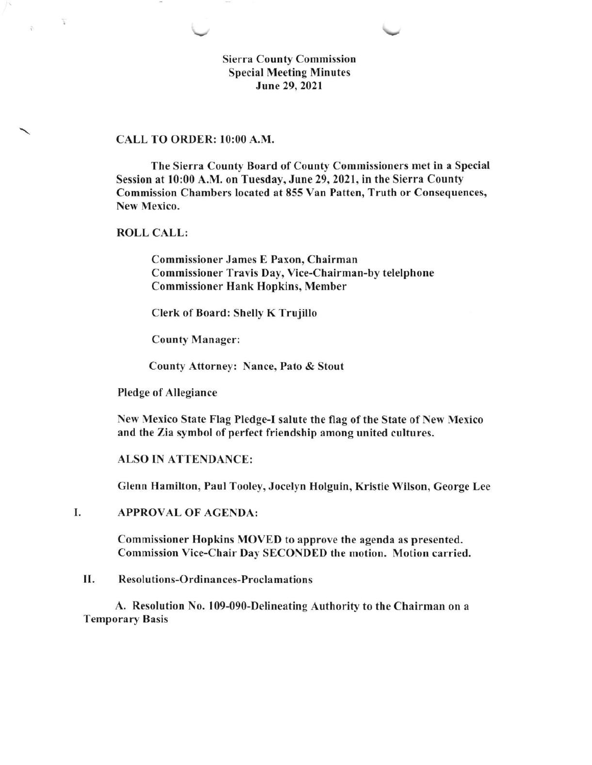Sierra County Commission Special Meeting Minutes June 29.2021

### CALL TO ORDER: l0:00 A.M.

The Sierra County Board of County Commissioners met in a Special Session at l0:00 A.M. on Tuesday, June29,202l, in the Sierra County Commission Chambers located at 855 Van Patten, Truth or Consequences, New Mexico.

ROLL CALL:

 $\overline{z}$ 

Commissioner James E Paxon, Chairman Commissioner Travis Day, Vice-Chairman-by telelphone Commissioner Hank Hopkins, Member

Clerk of Board: Shelly K Trujillo

County Manager:

County Attorney: Nance, Pato & Stout

Pledge of Allegiance

New Mexico State Flag Pledge-I salute the flag of the State of New Mexico and the Zia symbol of perfect friendship among united cultures.

ALSO IN ATTENDANCE:

Glenn Hamilton, Paul Tooley, Jocelyn Holguin, Kristie Wilson, George Lee

I APPROVAL OF AGENDA:

> Commissioner Hopkins MOVED to approve the agenda as presented. Commission Vice-Chair Day SECONDED the motion. Motion carried.

II. Resolutions-Ordinances-Proclamations

A. Resolution No. 109-090-Delineating Authority to the Chairman on <sup>a</sup> Temporary Basis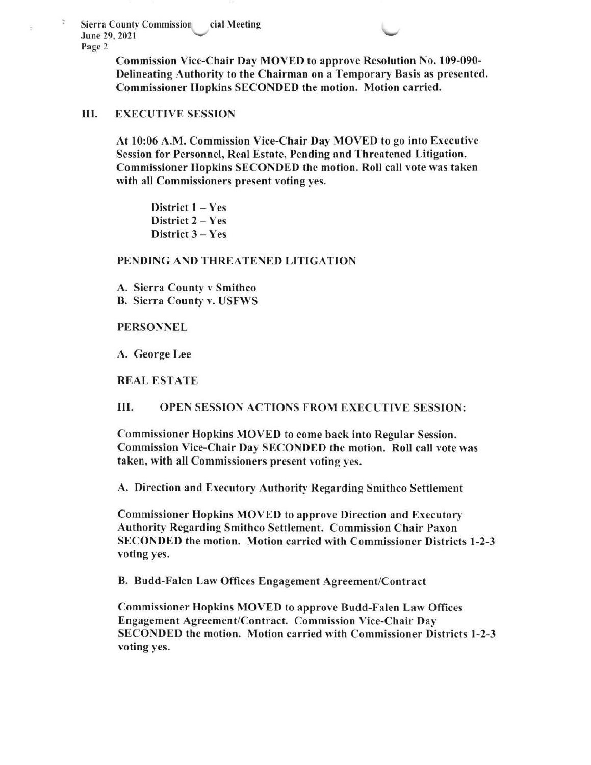Sierra County Commission cial Meeting<br>June 29, 2021 June 29, 2021 Page 2

> Commission Vice-Chair Day MOVED to approve Resolution No. 109-090- Delineating Authority to the Chairman on a Temporary Basis as presented. Commissioner Hopkins SECONDED the motion. Motion carried.

### III. EXECUTIVE SESSION

At l0:06 A.M. Commission Vice-Chair Day MOVED to go into Executive Session for Personnel, Real Estate, Pending and Threatened Litigation. Commissioner Hopkins SECONDED the motion. Roll call vote was taken with all Commissioners present voting yes,

District  $1 - Yes$ District 2 - Yes District  $3 - Yes$ 

## PENDING AND THREATENED LITIGATION

A. Sierra County v Smithco B. Sierra County v. USFWS

### PERSONNEL

A. George Lee

REAL ESTATE

III. OPEN SESSION ACTIONS FROM EXECUTIVE SESSION:

Commissioner Hopkins MOVED to come back into Regular Session. Commission Vice-Chair Day SECONDED the motion. Roll call vote was taken, with all Commissioners present voting yes.

A. Direction and Executory Authority Regarding Smithco Settlement

Commissioner Hopkins MOVED to approve Direction and Executory Authority Regarding Smithco Settlement. Commission Chair Paxon SECONDED the motion. Motion carried with Commissioner Districts l-2-3 voting yes.

B. Budd-Falen Lan Offices Engagement Agreement/Contract

Commissioner Hopkins MOVED to approve Budd-Falen Law Offices Engagement Agreement/Contract. Commission Vice-Chair Day SECONDED the motion. Motion carried with Commissioner Districts 1-2-3 voting yes.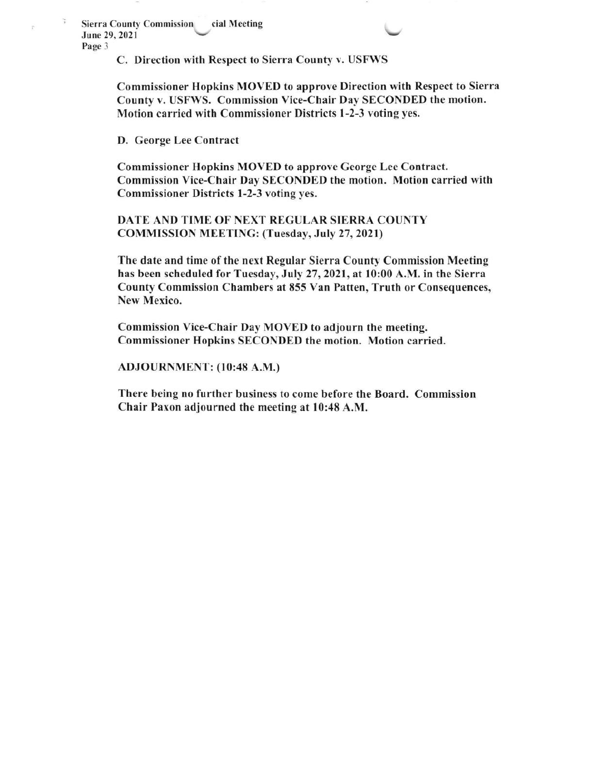Sierra County Commission June 29. 2021 Page 3 cial Meeting

C. Direction with Respect to Sierra County v. USFWS

Commissioner Hopkins MOVED to approve Direction with Respect to Sierra County v. USFWS. Commission Vice-Chair Day SECONDED the motion. Motion carried with Commissioner Districts l-2-3 voting yes.

D. George Lee Contract

Commissioner Hopkins MOVED to approve George Lee Contract. Commission Vice-Chair Day SECONDED the motion. Motion carried with Commissioner Districts l-2-3 voting yes.

DATE AND TIME OF NEXT REGULAR SIERRA COUNTY COMMISSION MEETINC: (Tuesday, July 27,2021)

The date and time of the next Regular Sierra County Commission Meeting has been scheduled for Tuesday, July 27,2021, at l0:00 A.M. in the Sierra County Commission Chambers at 855 Van Patten, Truth or Consequences, New Mexico.

Commission Vice-Chair Day MOVED to adjourn the meeting. Commissioner Hopkins SECONDED the motion. Motion carried.

ADJOURNMENT: (10:48 A.M.)

There being no further business to come before the Board. Commission Chair Paxon adjourned the meeting at l0:48 A.M.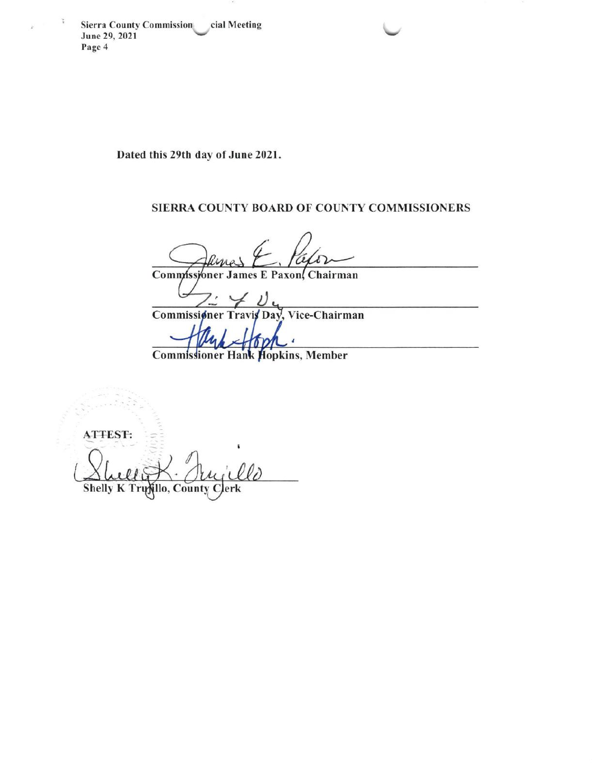**Sierra County Commission** cial Meeting June 29, 2021 Page 4

 $\widetilde{\mathbf{r}}$ 

Dated this 29th day of June 2021.

# SIERRA COUNTY BOARD OF COUNTY COMMISSIONERS

Commissioner James E Paxon, Chairman

Commissioner Vice-Chairman Travis Day.

z

**Commissioner Hank Hopkins, Member** 

**ATTEST:** Shelly K Trujillo, County C erk